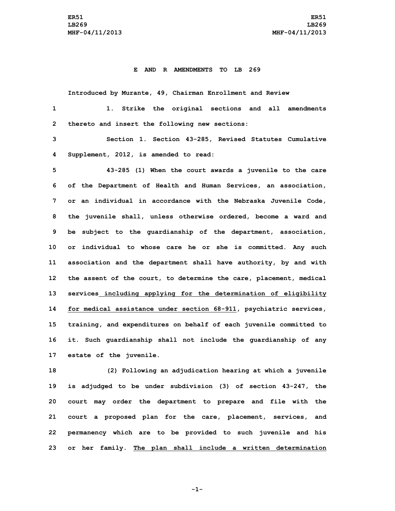## **E AND R AMENDMENTS TO LB 269**

**Introduced by Murante, 49, Chairman Enrollment and Review 1 1. Strike the original sections and all amendments**

**2 thereto and insert the following new sections:**

**3 Section 1. Section 43-285, Revised Statutes Cumulative 4 Supplement, 2012, is amended to read:**

 **43-285 (1) When the court awards <sup>a</sup> juvenile to the care of the Department of Health and Human Services, an association, or an individual in accordance with the Nebraska Juvenile Code, the juvenile shall, unless otherwise ordered, become <sup>a</sup> ward and be subject to the guardianship of the department, association, or individual to whose care he or she is committed. Any such association and the department shall have authority, by and with the assent of the court, to determine the care, placement, medical services including applying for the determination of eligibility for medical assistance under section 68-911, psychiatric services, training, and expenditures on behalf of each juvenile committed to it. Such guardianship shall not include the guardianship of any estate of the juvenile.**

 **(2) Following an adjudication hearing at which <sup>a</sup> juvenile is adjudged to be under subdivision (3) of section 43-247, the court may order the department to prepare and file with the court <sup>a</sup> proposed plan for the care, placement, services, and permanency which are to be provided to such juvenile and his or her family. The plan shall include <sup>a</sup> written determination**

**-1-**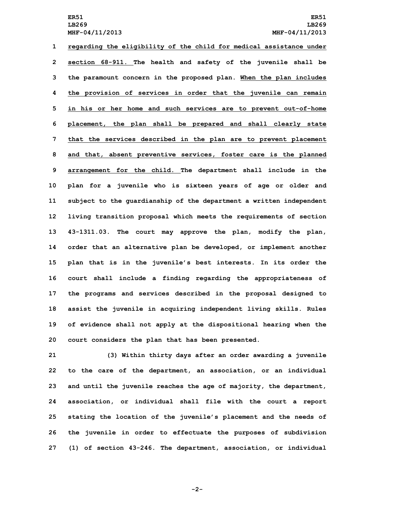**regarding the eligibility of the child for medical assistance under section 68-911. The health and safety of the juvenile shall be the paramount concern in the proposed plan. When the plan includes the provision of services in order that the juvenile can remain in his or her home and such services are to prevent out-of-home placement, the plan shall be prepared and shall clearly state that the services described in the plan are to prevent placement and that, absent preventive services, foster care is the planned arrangement for the child. The department shall include in the plan for <sup>a</sup> juvenile who is sixteen years of age or older and subject to the guardianship of the department <sup>a</sup> written independent living transition proposal which meets the requirements of section 43-1311.03. The court may approve the plan, modify the plan, order that an alternative plan be developed, or implement another plan that is in the juvenile's best interests. In its order the court shall include <sup>a</sup> finding regarding the appropriateness of the programs and services described in the proposal designed to assist the juvenile in acquiring independent living skills. Rules of evidence shall not apply at the dispositional hearing when the court considers the plan that has been presented.**

 **(3) Within thirty days after an order awarding <sup>a</sup> juvenile to the care of the department, an association, or an individual and until the juvenile reaches the age of majority, the department, association, or individual shall file with the court <sup>a</sup> report stating the location of the juvenile's placement and the needs of the juvenile in order to effectuate the purposes of subdivision (1) of section 43-246. The department, association, or individual**

**-2-**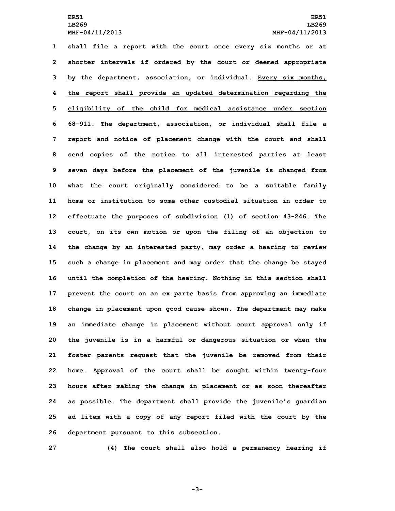**shall file <sup>a</sup> report with the court once every six months or at shorter intervals if ordered by the court or deemed appropriate by the department, association, or individual. Every six months, the report shall provide an updated determination regarding the eligibility of the child for medical assistance under section 68-911. The department, association, or individual shall file <sup>a</sup> report and notice of placement change with the court and shall send copies of the notice to all interested parties at least seven days before the placement of the juvenile is changed from what the court originally considered to be <sup>a</sup> suitable family home or institution to some other custodial situation in order to effectuate the purposes of subdivision (1) of section 43-246. The court, on its own motion or upon the filing of an objection to the change by an interested party, may order <sup>a</sup> hearing to review such <sup>a</sup> change in placement and may order that the change be stayed until the completion of the hearing. Nothing in this section shall prevent the court on an ex parte basis from approving an immediate change in placement upon good cause shown. The department may make an immediate change in placement without court approval only if the juvenile is in <sup>a</sup> harmful or dangerous situation or when the foster parents request that the juvenile be removed from their home. Approval of the court shall be sought within twenty-four hours after making the change in placement or as soon thereafter as possible. The department shall provide the juvenile's guardian ad litem with <sup>a</sup> copy of any report filed with the court by the department pursuant to this subsection.**

**27 (4) The court shall also hold <sup>a</sup> permanency hearing if**

**-3-**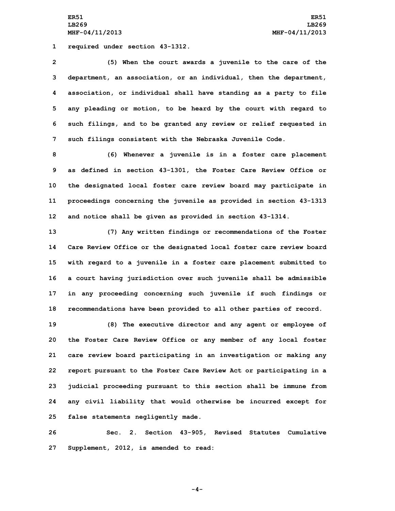**ER51 ER51 LB269 LB269 MHF-04/11/2013 MHF-04/11/2013**

**1 required under section 43-1312.**

 **(5) When the court awards <sup>a</sup> juvenile to the care of the department, an association, or an individual, then the department, association, or individual shall have standing as <sup>a</sup> party to file any pleading or motion, to be heard by the court with regard to such filings, and to be granted any review or relief requested in such filings consistent with the Nebraska Juvenile Code.**

 **(6) Whenever <sup>a</sup> juvenile is in <sup>a</sup> foster care placement as defined in section 43-1301, the Foster Care Review Office or the designated local foster care review board may participate in proceedings concerning the juvenile as provided in section 43-1313 and notice shall be given as provided in section 43-1314.**

 **(7) Any written findings or recommendations of the Foster Care Review Office or the designated local foster care review board with regard to <sup>a</sup> juvenile in <sup>a</sup> foster care placement submitted to <sup>a</sup> court having jurisdiction over such juvenile shall be admissible in any proceeding concerning such juvenile if such findings or recommendations have been provided to all other parties of record.**

 **(8) The executive director and any agent or employee of the Foster Care Review Office or any member of any local foster care review board participating in an investigation or making any report pursuant to the Foster Care Review Act or participating in <sup>a</sup> judicial proceeding pursuant to this section shall be immune from any civil liability that would otherwise be incurred except for false statements negligently made.**

**26 Sec. 2. Section 43-905, Revised Statutes Cumulative 27 Supplement, 2012, is amended to read:**

**-4-**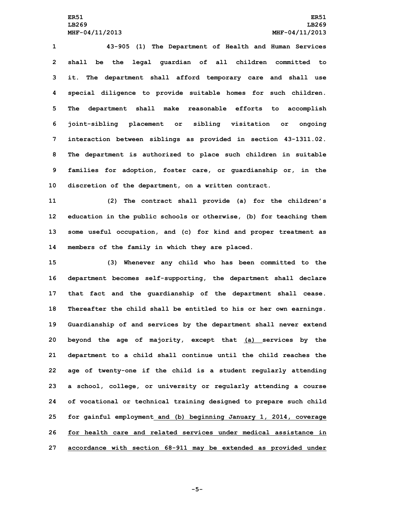**43-905 (1) The Department of Health and Human Services shall be the legal guardian of all children committed to it. The department shall afford temporary care and shall use special diligence to provide suitable homes for such children. The department shall make reasonable efforts to accomplish joint-sibling placement or sibling visitation or ongoing interaction between siblings as provided in section 43-1311.02. The department is authorized to place such children in suitable families for adoption, foster care, or guardianship or, in the discretion of the department, on <sup>a</sup> written contract.**

 **(2) The contract shall provide (a) for the children's education in the public schools or otherwise, (b) for teaching them some useful occupation, and (c) for kind and proper treatment as members of the family in which they are placed.**

 **(3) Whenever any child who has been committed to the department becomes self-supporting, the department shall declare that fact and the guardianship of the department shall cease. Thereafter the child shall be entitled to his or her own earnings. Guardianship of and services by the department shall never extend beyond the age of majority, except that (a) services by the department to <sup>a</sup> child shall continue until the child reaches the age of twenty-one if the child is <sup>a</sup> student regularly attending <sup>a</sup> school, college, or university or regularly attending <sup>a</sup> course of vocational or technical training designed to prepare such child for gainful employment and (b) beginning January 1, 2014, coverage for health care and related services under medical assistance in accordance with section 68-911 may be extended as provided under**

**-5-**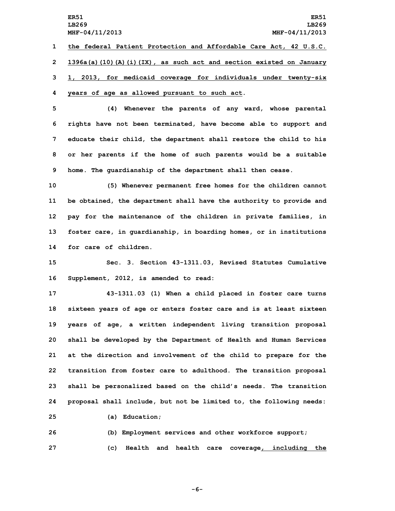**ER51 ER51 LB269 LB269 MHF-04/11/2013 MHF-04/11/2013 1 the federal Patient Protection and Affordable Care Act, 42 U.S.C. 2 1396a(a)(10)(A)(i)(IX), as such act and section existed on January**

**3 1, 2013, for medicaid coverage for individuals under twenty-six 4 years of age as allowed pursuant to such act.**

 **(4) Whenever the parents of any ward, whose parental rights have not been terminated, have become able to support and educate their child, the department shall restore the child to his or her parents if the home of such parents would be <sup>a</sup> suitable home. The guardianship of the department shall then cease.**

 **(5) Whenever permanent free homes for the children cannot be obtained, the department shall have the authority to provide and pay for the maintenance of the children in private families, in foster care, in guardianship, in boarding homes, or in institutions for care of children.**

**15 Sec. 3. Section 43-1311.03, Revised Statutes Cumulative 16 Supplement, 2012, is amended to read:**

 **43-1311.03 (1) When <sup>a</sup> child placed in foster care turns sixteen years of age or enters foster care and is at least sixteen years of age, <sup>a</sup> written independent living transition proposal shall be developed by the Department of Health and Human Services at the direction and involvement of the child to prepare for the transition from foster care to adulthood. The transition proposal shall be personalized based on the child's needs. The transition proposal shall include, but not be limited to, the following needs:**

**25 (a) Education;**

**26 (b) Employment services and other workforce support; 27 (c) Health and health care coverage, including the**

**-6-**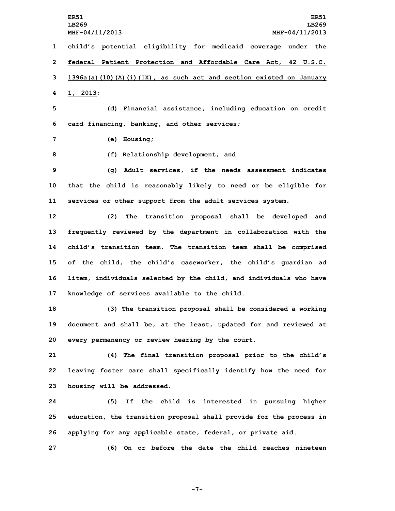**ER51 ER51 LB269 LB269 MHF-04/11/2013 MHF-04/11/2013 child's potential eligibility for medicaid coverage under the federal Patient Protection and Affordable Care Act, 42 U.S.C. 1396a(a)(10)(A)(i)(IX), as such act and section existed on January 4 1, 2013; (d) Financial assistance, including education on credit card financing, banking, and other services; (e) Housing; (f) Relationship development; and (g) Adult services, if the needs assessment indicates that the child is reasonably likely to need or be eligible for services or other support from the adult services system. (2) The transition proposal shall be developed and frequently reviewed by the department in collaboration with the child's transition team. The transition team shall be comprised of the child, the child's caseworker, the child's guardian ad litem, individuals selected by the child, and individuals who have knowledge of services available to the child. (3) The transition proposal shall be considered <sup>a</sup> working document and shall be, at the least, updated for and reviewed at every permanency or review hearing by the court. (4) The final transition proposal prior to the child's leaving foster care shall specifically identify how the need for housing will be addressed. (5) If the child is interested in pursuing higher education, the transition proposal shall provide for the process in applying for any applicable state, federal, or private aid. (6) On or before the date the child reaches nineteen**

**-7-**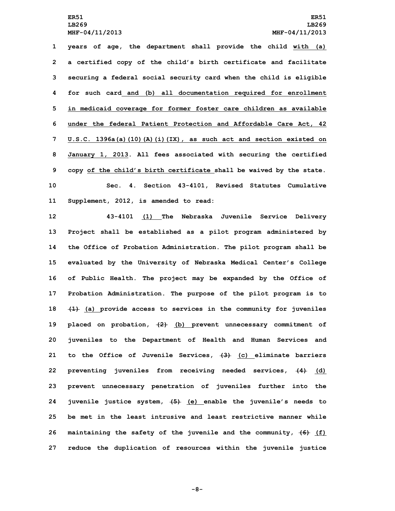**years of age, the department shall provide the child with (a) <sup>a</sup> certified copy of the child's birth certificate and facilitate securing <sup>a</sup> federal social security card when the child is eligible for such card and (b) all documentation required for enrollment in medicaid coverage for former foster care children as available under the federal Patient Protection and Affordable Care Act, 42 U.S.C. 1396a(a)(10)(A)(i)(IX), as such act and section existed on January 1, 2013. All fees associated with securing the certified copy of the child's birth certificate shall be waived by the state. Sec. 4. Section 43-4101, Revised Statutes Cumulative Supplement, 2012, is amended to read:**

 **43-4101 (1) The Nebraska Juvenile Service Delivery Project shall be established as <sup>a</sup> pilot program administered by the Office of Probation Administration. The pilot program shall be evaluated by the University of Nebraska Medical Center's College of Public Health. The project may be expanded by the Office of Probation Administration. The purpose of the pilot program is to (1) (a) provide access to services in the community for juveniles placed on probation, (2) (b) prevent unnecessary commitment of juveniles to the Department of Health and Human Services and to the Office of Juvenile Services, (3) (c) eliminate barriers preventing juveniles from receiving needed services, (4) (d) prevent unnecessary penetration of juveniles further into the juvenile justice system, (5) (e) enable the juvenile's needs to be met in the least intrusive and least restrictive manner while maintaining the safety of the juvenile and the community, (6) (f) reduce the duplication of resources within the juvenile justice**

**-8-**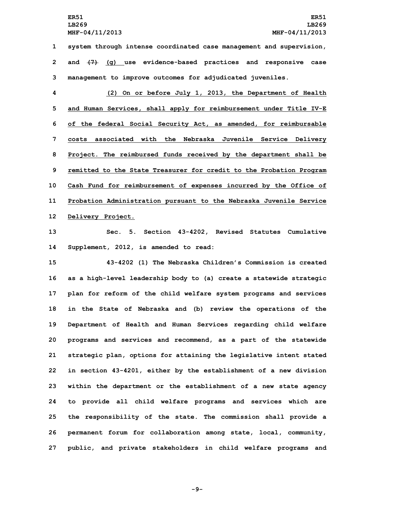**1 system through intense coordinated case management and supervision, 2 and (7) (g) use evidence-based practices and responsive case 3 management to improve outcomes for adjudicated juveniles.**

 **(2) On or before July 1, 2013, the Department of Health and Human Services, shall apply for reimbursement under Title IV-E of the federal Social Security Act, as amended, for reimbursable costs associated with the Nebraska Juvenile Service Delivery Project. The reimbursed funds received by the department shall be remitted to the State Treasurer for credit to the Probation Program Cash Fund for reimbursement of expenses incurred by the Office of Probation Administration pursuant to the Nebraska Juvenile Service Delivery Project.**

**13 Sec. 5. Section 43-4202, Revised Statutes Cumulative 14 Supplement, 2012, is amended to read:**

 **43-4202 (1) The Nebraska Children's Commission is created as <sup>a</sup> high-level leadership body to (a) create <sup>a</sup> statewide strategic plan for reform of the child welfare system programs and services in the State of Nebraska and (b) review the operations of the Department of Health and Human Services regarding child welfare programs and services and recommend, as <sup>a</sup> part of the statewide strategic plan, options for attaining the legislative intent stated in section 43-4201, either by the establishment of <sup>a</sup> new division within the department or the establishment of <sup>a</sup> new state agency to provide all child welfare programs and services which are the responsibility of the state. The commission shall provide <sup>a</sup> permanent forum for collaboration among state, local, community, public, and private stakeholders in child welfare programs and**

**-9-**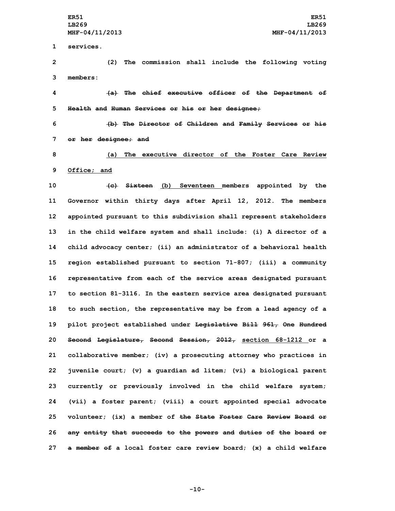**1 services.**

**2 (2) The commission shall include the following voting 3 members:**

**4 (a) The chief executive officer of the Department of 5 Health and Human Services or his or her designee;**

**6 (b) The Director of Children and Family Services or his 7 or her designee; and**

**8 (a) The executive director of the Foster Care Review 9 Office; and**

 **(c) Sixteen (b) Seventeen members appointed by the Governor within thirty days after April 12, 2012. The members appointed pursuant to this subdivision shall represent stakeholders in the child welfare system and shall include: (i) <sup>A</sup> director of <sup>a</sup> child advocacy center; (ii) an administrator of <sup>a</sup> behavioral health region established pursuant to section 71-807; (iii) <sup>a</sup> community representative from each of the service areas designated pursuant to section 81-3116. In the eastern service area designated pursuant to such section, the representative may be from <sup>a</sup> lead agency of <sup>a</sup> pilot project established under Legislative Bill 961, One Hundred Second Legislature, Second Session, 2012, section 68-1212 or <sup>a</sup> collaborative member; (iv) <sup>a</sup> prosecuting attorney who practices in juvenile court; (v) <sup>a</sup> guardian ad litem; (vi) <sup>a</sup> biological parent currently or previously involved in the child welfare system; (vii) <sup>a</sup> foster parent; (viii) <sup>a</sup> court appointed special advocate volunteer; (ix) <sup>a</sup> member of the State Foster Care Review Board or any entity that succeeds to the powers and duties of the board or <sup>a</sup> member of <sup>a</sup> local foster care review board; (x) <sup>a</sup> child welfare**

**-10-**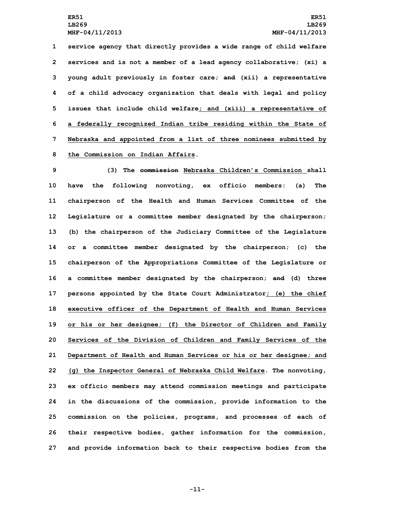**service agency that directly provides <sup>a</sup> wide range of child welfare services and is not <sup>a</sup> member of <sup>a</sup> lead agency collaborative; (xi) <sup>a</sup> young adult previously in foster care; and (xii) <sup>a</sup> representative of <sup>a</sup> child advocacy organization that deals with legal and policy issues that include child welfare; and (xiii) <sup>a</sup> representative of <sup>a</sup> federally recognized Indian tribe residing within the State of Nebraska and appointed from <sup>a</sup> list of three nominees submitted by the Commission on Indian Affairs.**

 **(3) The commission Nebraska Children's Commission shall have the following nonvoting, ex officio members: (a) The chairperson of the Health and Human Services Committee of the Legislature or <sup>a</sup> committee member designated by the chairperson; (b) the chairperson of the Judiciary Committee of the Legislature or <sup>a</sup> committee member designated by the chairperson; (c) the chairperson of the Appropriations Committee of the Legislature or <sup>a</sup> committee member designated by the chairperson; and (d) three persons appointed by the State Court Administrator; (e) the chief executive officer of the Department of Health and Human Services or his or her designee; (f) the Director of Children and Family Services of the Division of Children and Family Services of the Department of Health and Human Services or his or her designee; and (g) the Inspector General of Nebraska Child Welfare. The nonvoting, ex officio members may attend commission meetings and participate in the discussions of the commission, provide information to the commission on the policies, programs, and processes of each of their respective bodies, gather information for the commission, and provide information back to their respective bodies from the**

**-11-**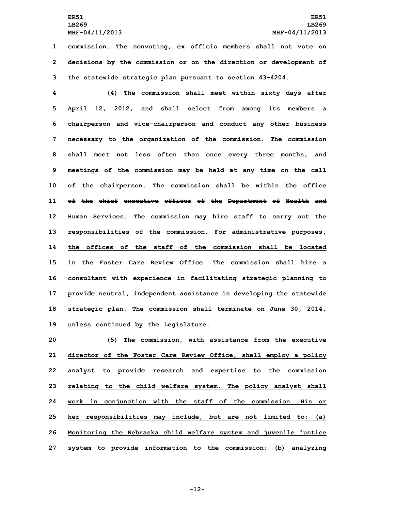**1 commission. The nonvoting, ex officio members shall not vote on 2 decisions by the commission or on the direction or development of 3 the statewide strategic plan pursuant to section 43-4204.**

 **(4) The commission shall meet within sixty days after April 12, 2012, and shall select from among its members <sup>a</sup> chairperson and vice-chairperson and conduct any other business necessary to the organization of the commission. The commission shall meet not less often than once every three months, and meetings of the commission may be held at any time on the call of the chairperson. The commission shall be within the office of the chief executive officer of the Department of Health and Human Services. The commission may hire staff to carry out the responsibilities of the commission. For administrative purposes, the offices of the staff of the commission shall be located in the Foster Care Review Office. The commission shall hire a consultant with experience in facilitating strategic planning to provide neutral, independent assistance in developing the statewide strategic plan. The commission shall terminate on June 30, 2014, unless continued by the Legislature.**

 **(5) The commission, with assistance from the executive director of the Foster Care Review Office, shall employ <sup>a</sup> policy analyst to provide research and expertise to the commission relating to the child welfare system. The policy analyst shall work in conjunction with the staff of the commission. His or her responsibilities may include, but are not limited to: (a) Monitoring the Nebraska child welfare system and juvenile justice system to provide information to the commission; (b) analyzing**

**-12-**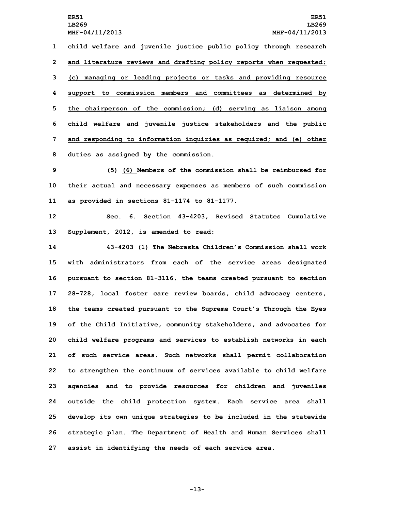**child welfare and juvenile justice public policy through research and literature reviews and drafting policy reports when requested; (c) managing or leading projects or tasks and providing resource support to commission members and committees as determined by the chairperson of the commission; (d) serving as liaison among child welfare and juvenile justice stakeholders and the public and responding to information inquiries as required; and (e) other duties as assigned by the commission.**

**9 (5) (6) Members of the commission shall be reimbursed for 10 their actual and necessary expenses as members of such commission 11 as provided in sections 81-1174 to 81-1177.**

**12 Sec. 6. Section 43-4203, Revised Statutes Cumulative 13 Supplement, 2012, is amended to read:**

 **43-4203 (1) The Nebraska Children's Commission shall work with administrators from each of the service areas designated pursuant to section 81-3116, the teams created pursuant to section 28-728, local foster care review boards, child advocacy centers, the teams created pursuant to the Supreme Court's Through the Eyes of the Child Initiative, community stakeholders, and advocates for child welfare programs and services to establish networks in each of such service areas. Such networks shall permit collaboration to strengthen the continuum of services available to child welfare agencies and to provide resources for children and juveniles outside the child protection system. Each service area shall develop its own unique strategies to be included in the statewide strategic plan. The Department of Health and Human Services shall assist in identifying the needs of each service area.**

**-13-**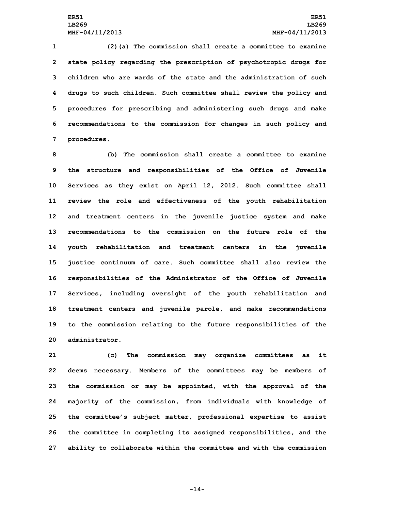**(2)(a) The commission shall create <sup>a</sup> committee to examine state policy regarding the prescription of psychotropic drugs for children who are wards of the state and the administration of such drugs to such children. Such committee shall review the policy and procedures for prescribing and administering such drugs and make recommendations to the commission for changes in such policy and procedures.**

 **(b) The commission shall create <sup>a</sup> committee to examine the structure and responsibilities of the Office of Juvenile Services as they exist on April 12, 2012. Such committee shall review the role and effectiveness of the youth rehabilitation and treatment centers in the juvenile justice system and make recommendations to the commission on the future role of the youth rehabilitation and treatment centers in the juvenile justice continuum of care. Such committee shall also review the responsibilities of the Administrator of the Office of Juvenile Services, including oversight of the youth rehabilitation and treatment centers and juvenile parole, and make recommendations to the commission relating to the future responsibilities of the administrator.**

 **(c) The commission may organize committees as it deems necessary. Members of the committees may be members of the commission or may be appointed, with the approval of the majority of the commission, from individuals with knowledge of the committee's subject matter, professional expertise to assist the committee in completing its assigned responsibilities, and the ability to collaborate within the committee and with the commission**

**-14-**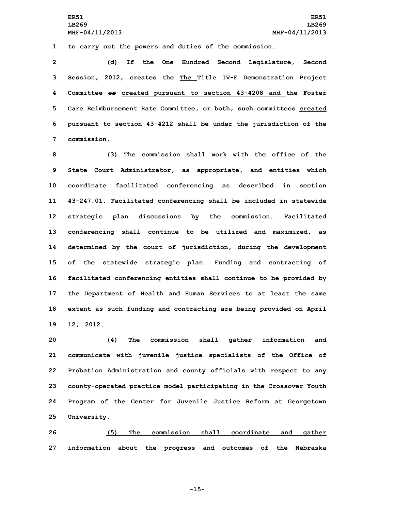**1 to carry out the powers and duties of the commission.**

 **(d) If the One Hundred Second Legislature, Second Session, 2012, creates the The Title IV-E Demonstration Project Committee or created pursuant to section 43-4208 and the Foster Care Reimbursement Rate Committee, or both, such committees created pursuant to section 43-4212 shall be under the jurisdiction of the commission.**

 **(3) The commission shall work with the office of the State Court Administrator, as appropriate, and entities which coordinate facilitated conferencing as described in section 43-247.01. Facilitated conferencing shall be included in statewide strategic plan discussions by the commission. Facilitated conferencing shall continue to be utilized and maximized, as determined by the court of jurisdiction, during the development of the statewide strategic plan. Funding and contracting of facilitated conferencing entities shall continue to be provided by the Department of Health and Human Services to at least the same extent as such funding and contracting are being provided on April 12, 2012.**

 **(4) The commission shall gather information and communicate with juvenile justice specialists of the Office of Probation Administration and county officials with respect to any county-operated practice model participating in the Crossover Youth Program of the Center for Juvenile Justice Reform at Georgetown University.**

**26 (5) The commission shall coordinate and gather 27 information about the progress and outcomes of the Nebraska**

**-15-**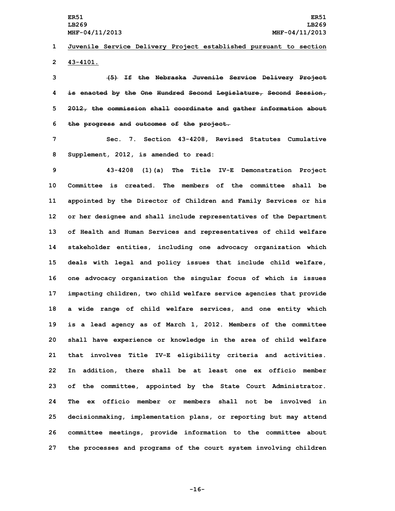## **1 Juvenile Service Delivery Project established pursuant to section 2 43-4101.**

 **(5) If the Nebraska Juvenile Service Delivery Project is enacted by the One Hundred Second Legislature, Second Session, 2012, the commission shall coordinate and gather information about the progress and outcomes of the project.**

**7 Sec. 7. Section 43-4208, Revised Statutes Cumulative 8 Supplement, 2012, is amended to read:**

 **43-4208 (1)(a) The Title IV-E Demonstration Project Committee is created. The members of the committee shall be appointed by the Director of Children and Family Services or his or her designee and shall include representatives of the Department of Health and Human Services and representatives of child welfare stakeholder entities, including one advocacy organization which deals with legal and policy issues that include child welfare, one advocacy organization the singular focus of which is issues impacting children, two child welfare service agencies that provide <sup>a</sup> wide range of child welfare services, and one entity which is <sup>a</sup> lead agency as of March 1, 2012. Members of the committee shall have experience or knowledge in the area of child welfare that involves Title IV-E eligibility criteria and activities. In addition, there shall be at least one ex officio member of the committee, appointed by the State Court Administrator. The ex officio member or members shall not be involved in decisionmaking, implementation plans, or reporting but may attend committee meetings, provide information to the committee about the processes and programs of the court system involving children**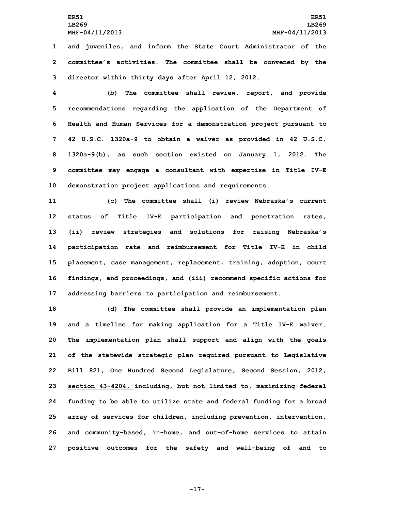## **ER51 ER51 LB269 LB269 MHF-04/11/2013 MHF-04/11/2013**

**1 and juveniles, and inform the State Court Administrator of the 2 committee's activities. The committee shall be convened by the 3 director within thirty days after April 12, 2012.**

 **(b) The committee shall review, report, and provide recommendations regarding the application of the Department of Health and Human Services for <sup>a</sup> demonstration project pursuant to 42 U.S.C. 1320a-9 to obtain <sup>a</sup> waiver as provided in 42 U.S.C. 1320a-9(b), as such section existed on January 1, 2012. The committee may engage <sup>a</sup> consultant with expertise in Title IV-E demonstration project applications and requirements.**

 **(c) The committee shall (i) review Nebraska's current status of Title IV-E participation and penetration rates, (ii) review strategies and solutions for raising Nebraska's participation rate and reimbursement for Title IV-E in child placement, case management, replacement, training, adoption, court findings, and proceedings, and (iii) recommend specific actions for addressing barriers to participation and reimbursement.**

 **(d) The committee shall provide an implementation plan and <sup>a</sup> timeline for making application for <sup>a</sup> Title IV-E waiver. The implementation plan shall support and align with the goals of the statewide strategic plan required pursuant to Legislative Bill 821, One Hundred Second Legislature, Second Session, 2012, section 43-4204, including, but not limited to, maximizing federal funding to be able to utilize state and federal funding for <sup>a</sup> broad array of services for children, including prevention, intervention, and community-based, in-home, and out-of-home services to attain positive outcomes for the safety and well-being of and to**

**-17-**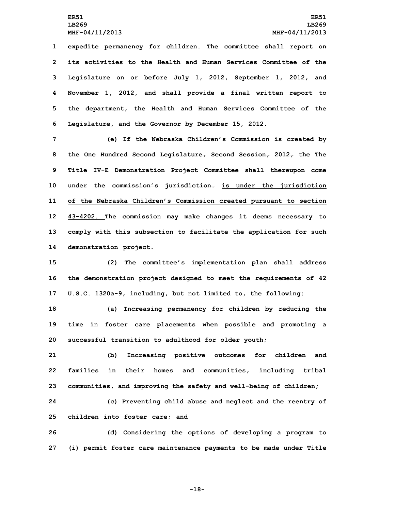**expedite permanency for children. The committee shall report on its activities to the Health and Human Services Committee of the Legislature on or before July 1, 2012, September 1, 2012, and November 1, 2012, and shall provide <sup>a</sup> final written report to the department, the Health and Human Services Committee of the Legislature, and the Governor by December 15, 2012.**

 **(e) If the Nebraska Children's Commission is created by the One Hundred Second Legislature, Second Session, 2012, the The Title IV-E Demonstration Project Committee shall thereupon come under the commission's jurisdiction. is under the jurisdiction of the Nebraska Children's Commission created pursuant to section 43-4202. The commission may make changes it deems necessary to comply with this subsection to facilitate the application for such demonstration project.**

**15 (2) The committee's implementation plan shall address 16 the demonstration project designed to meet the requirements of 42 17 U.S.C. 1320a-9, including, but not limited to, the following:**

**18 (a) Increasing permanency for children by reducing the 19 time in foster care placements when possible and promoting <sup>a</sup> 20 successful transition to adulthood for older youth;**

**21 (b) Increasing positive outcomes for children and 22 families in their homes and communities, including tribal 23 communities, and improving the safety and well-being of children;**

**24 (c) Preventing child abuse and neglect and the reentry of 25 children into foster care; and**

**26 (d) Considering the options of developing <sup>a</sup> program to 27 (i) permit foster care maintenance payments to be made under Title**

**-18-**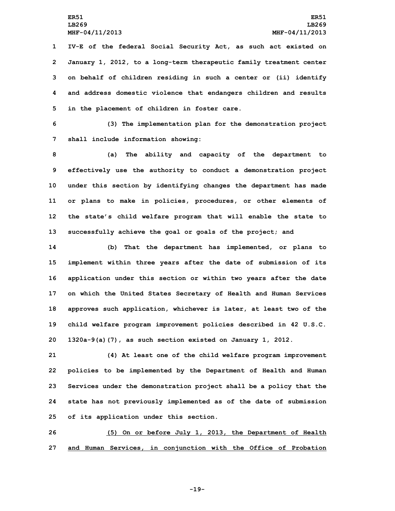**IV-E of the federal Social Security Act, as such act existed on January 1, 2012, to <sup>a</sup> long-term therapeutic family treatment center on behalf of children residing in such <sup>a</sup> center or (ii) identify and address domestic violence that endangers children and results in the placement of children in foster care.**

**6 (3) The implementation plan for the demonstration project 7 shall include information showing:**

 **(a) The ability and capacity of the department to effectively use the authority to conduct <sup>a</sup> demonstration project under this section by identifying changes the department has made or plans to make in policies, procedures, or other elements of the state's child welfare program that will enable the state to successfully achieve the goal or goals of the project; and**

 **(b) That the department has implemented, or plans to implement within three years after the date of submission of its application under this section or within two years after the date on which the United States Secretary of Health and Human Services approves such application, whichever is later, at least two of the child welfare program improvement policies described in 42 U.S.C. 1320a-9(a)(7), as such section existed on January 1, 2012.**

 **(4) At least one of the child welfare program improvement policies to be implemented by the Department of Health and Human Services under the demonstration project shall be <sup>a</sup> policy that the state has not previously implemented as of the date of submission of its application under this section.**

**26 (5) On or before July 1, 2013, the Department of Health 27 and Human Services, in conjunction with the Office of Probation**

**-19-**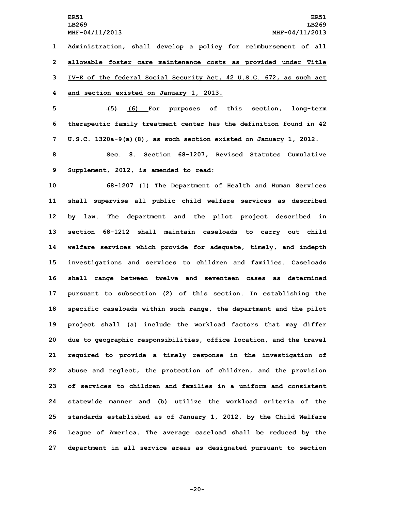**ER51 ER51 LB269 LB269 MHF-04/11/2013 MHF-04/11/2013 1 Administration, shall develop <sup>a</sup> policy for reimbursement of all 2 allowable foster care maintenance costs as provided under Title 3 IV-E of the federal Social Security Act, 42 U.S.C. 672, as such act 4 and section existed on January 1, 2013.**

**5 (5) (6) For purposes of this section, long-term 6 therapeutic family treatment center has the definition found in 42 7 U.S.C. 1320a-9(a)(8), as such section existed on January 1, 2012.**

**8 Sec. 8. Section 68-1207, Revised Statutes Cumulative 9 Supplement, 2012, is amended to read:**

 **68-1207 (1) The Department of Health and Human Services shall supervise all public child welfare services as described by law. The department and the pilot project described in section 68-1212 shall maintain caseloads to carry out child welfare services which provide for adequate, timely, and indepth investigations and services to children and families. Caseloads shall range between twelve and seventeen cases as determined pursuant to subsection (2) of this section. In establishing the specific caseloads within such range, the department and the pilot project shall (a) include the workload factors that may differ due to geographic responsibilities, office location, and the travel required to provide <sup>a</sup> timely response in the investigation of abuse and neglect, the protection of children, and the provision of services to children and families in a uniform and consistent statewide manner and (b) utilize the workload criteria of the standards established as of January 1, 2012, by the Child Welfare League of America. The average caseload shall be reduced by the department in all service areas as designated pursuant to section**

**-20-**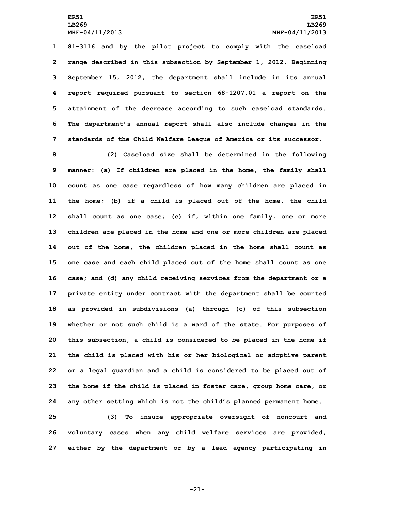**81-3116 and by the pilot project to comply with the caseload range described in this subsection by September 1, 2012. Beginning September 15, 2012, the department shall include in its annual report required pursuant to section 68-1207.01 <sup>a</sup> report on the attainment of the decrease according to such caseload standards. The department's annual report shall also include changes in the standards of the Child Welfare League of America or its successor.**

 **(2) Caseload size shall be determined in the following manner: (a) If children are placed in the home, the family shall count as one case regardless of how many children are placed in the home; (b) if <sup>a</sup> child is placed out of the home, the child shall count as one case; (c) if, within one family, one or more children are placed in the home and one or more children are placed out of the home, the children placed in the home shall count as one case and each child placed out of the home shall count as one case; and (d) any child receiving services from the department or <sup>a</sup> private entity under contract with the department shall be counted as provided in subdivisions (a) through (c) of this subsection whether or not such child is <sup>a</sup> ward of the state. For purposes of this subsection, <sup>a</sup> child is considered to be placed in the home if the child is placed with his or her biological or adoptive parent or <sup>a</sup> legal guardian and <sup>a</sup> child is considered to be placed out of the home if the child is placed in foster care, group home care, or any other setting which is not the child's planned permanent home.**

**25 (3) To insure appropriate oversight of noncourt and 26 voluntary cases when any child welfare services are provided, 27 either by the department or by <sup>a</sup> lead agency participating in**

**-21-**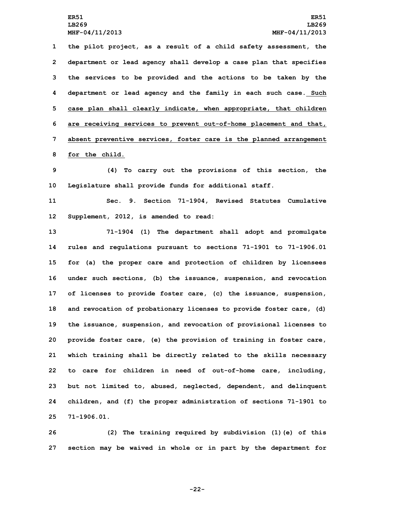**LB269 LB269**

 **the pilot project, as <sup>a</sup> result of <sup>a</sup> child safety assessment, the department or lead agency shall develop <sup>a</sup> case plan that specifies the services to be provided and the actions to be taken by the department or lead agency and the family in each such case. Such case plan shall clearly indicate, when appropriate, that children are receiving services to prevent out-of-home placement and that, absent preventive services, foster care is the planned arrangement for the child.**

**9 (4) To carry out the provisions of this section, the 10 Legislature shall provide funds for additional staff.**

**11 Sec. 9. Section 71-1904, Revised Statutes Cumulative 12 Supplement, 2012, is amended to read:**

 **71-1904 (1) The department shall adopt and promulgate rules and regulations pursuant to sections 71-1901 to 71-1906.01 for (a) the proper care and protection of children by licensees under such sections, (b) the issuance, suspension, and revocation of licenses to provide foster care, (c) the issuance, suspension, and revocation of probationary licenses to provide foster care, (d) the issuance, suspension, and revocation of provisional licenses to provide foster care, (e) the provision of training in foster care, which training shall be directly related to the skills necessary to care for children in need of out-of-home care, including, but not limited to, abused, neglected, dependent, and delinquent children, and (f) the proper administration of sections 71-1901 to 71-1906.01.**

**26 (2) The training required by subdivision (1)(e) of this 27 section may be waived in whole or in part by the department for**

**-22-**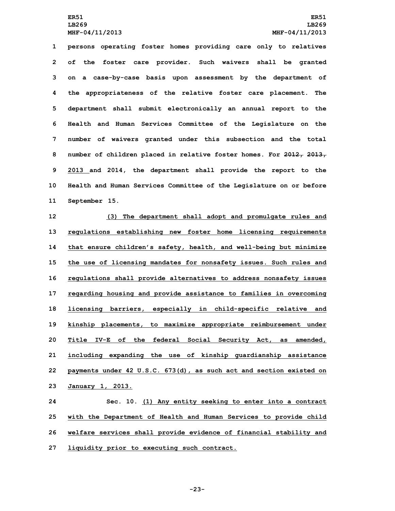**persons operating foster homes providing care only to relatives of the foster care provider. Such waivers shall be granted on <sup>a</sup> case-by-case basis upon assessment by the department of the appropriateness of the relative foster care placement. The department shall submit electronically an annual report to the Health and Human Services Committee of the Legislature on the number of waivers granted under this subsection and the total number of children placed in relative foster homes. For 2012, 2013, 2013 and 2014, the department shall provide the report to the Health and Human Services Committee of the Legislature on or before September 15.**

 **(3) The department shall adopt and promulgate rules and regulations establishing new foster home licensing requirements that ensure children's safety, health, and well-being but minimize the use of licensing mandates for nonsafety issues. Such rules and regulations shall provide alternatives to address nonsafety issues regarding housing and provide assistance to families in overcoming licensing barriers, especially in child-specific relative and kinship placements, to maximize appropriate reimbursement under Title IV-E of the federal Social Security Act, as amended, including expanding the use of kinship guardianship assistance payments under 42 U.S.C. 673(d), as such act and section existed on January 1, 2013.**

 **Sec. 10. (1) Any entity seeking to enter into <sup>a</sup> contract with the Department of Health and Human Services to provide child welfare services shall provide evidence of financial stability and liquidity prior to executing such contract.**

**-23-**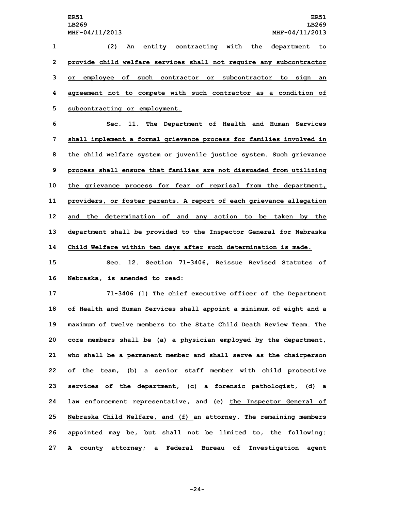**(2) An entity contracting with the department to provide child welfare services shall not require any subcontractor or employee of such contractor or subcontractor to sign an agreement not to compete with such contractor as <sup>a</sup> condition of subcontracting or employment.**

 **Sec. 11. The Department of Health and Human Services shall implement <sup>a</sup> formal grievance process for families involved in the child welfare system or juvenile justice system. Such grievance process shall ensure that families are not dissuaded from utilizing the grievance process for fear of reprisal from the department, providers, or foster parents. <sup>A</sup> report of each grievance allegation and the determination of and any action to be taken by the department shall be provided to the Inspector General for Nebraska Child Welfare within ten days after such determination is made.**

**15 Sec. 12. Section 71-3406, Reissue Revised Statutes of 16 Nebraska, is amended to read:**

 **71-3406 (1) The chief executive officer of the Department of Health and Human Services shall appoint <sup>a</sup> minimum of eight and <sup>a</sup> maximum of twelve members to the State Child Death Review Team. The core members shall be (a) <sup>a</sup> physician employed by the department, who shall be <sup>a</sup> permanent member and shall serve as the chairperson of the team, (b) <sup>a</sup> senior staff member with child protective services of the department, (c) <sup>a</sup> forensic pathologist, (d) <sup>a</sup> law enforcement representative, and (e) the Inspector General of Nebraska Child Welfare, and (f) an attorney. The remaining members appointed may be, but shall not be limited to, the following: <sup>A</sup> county attorney; <sup>a</sup> Federal Bureau of Investigation agent**

**-24-**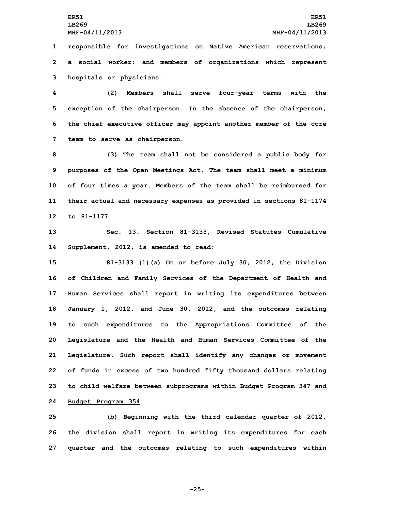**1 responsible for investigations on Native American reservations; 2 <sup>a</sup> social worker; and members of organizations which represent 3 hospitals or physicians.**

 **(2) Members shall serve four-year terms with the exception of the chairperson. In the absence of the chairperson, the chief executive officer may appoint another member of the core team to serve as chairperson.**

 **(3) The team shall not be considered <sup>a</sup> public body for purposes of the Open Meetings Act. The team shall meet <sup>a</sup> minimum of four times <sup>a</sup> year. Members of the team shall be reimbursed for their actual and necessary expenses as provided in sections 81-1174 to 81-1177.**

**13 Sec. 13. Section 81-3133, Revised Statutes Cumulative 14 Supplement, 2012, is amended to read:**

 **81-3133 (1)(a) On or before July 30, 2012, the Division of Children and Family Services of the Department of Health and Human Services shall report in writing its expenditures between January 1, 2012, and June 30, 2012, and the outcomes relating to such expenditures to the Appropriations Committee of the Legislature and the Health and Human Services Committee of the Legislature. Such report shall identify any changes or movement of funds in excess of two hundred fifty thousand dollars relating to child welfare between subprograms within Budget Program 347 and Budget Program 354.**

**25 (b) Beginning with the third calendar quarter of 2012, 26 the division shall report in writing its expenditures for each 27 quarter and the outcomes relating to such expenditures within**

**-25-**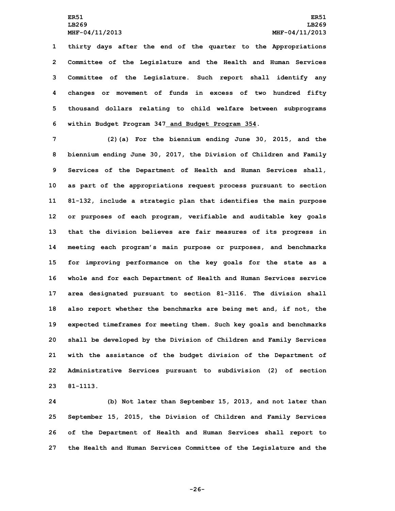**LB269 LB269**

 **thirty days after the end of the quarter to the Appropriations Committee of the Legislature and the Health and Human Services Committee of the Legislature. Such report shall identify any changes or movement of funds in excess of two hundred fifty thousand dollars relating to child welfare between subprograms within Budget Program 347 and Budget Program 354.**

 **(2)(a) For the biennium ending June 30, 2015, and the biennium ending June 30, 2017, the Division of Children and Family Services of the Department of Health and Human Services shall, as part of the appropriations request process pursuant to section 81-132, include <sup>a</sup> strategic plan that identifies the main purpose or purposes of each program, verifiable and auditable key goals that the division believes are fair measures of its progress in meeting each program's main purpose or purposes, and benchmarks for improving performance on the key goals for the state as <sup>a</sup> whole and for each Department of Health and Human Services service area designated pursuant to section 81-3116. The division shall also report whether the benchmarks are being met and, if not, the expected timeframes for meeting them. Such key goals and benchmarks shall be developed by the Division of Children and Family Services with the assistance of the budget division of the Department of Administrative Services pursuant to subdivision (2) of section 23 81-1113.**

 **(b) Not later than September 15, 2013, and not later than September 15, 2015, the Division of Children and Family Services of the Department of Health and Human Services shall report to the Health and Human Services Committee of the Legislature and the**

**-26-**